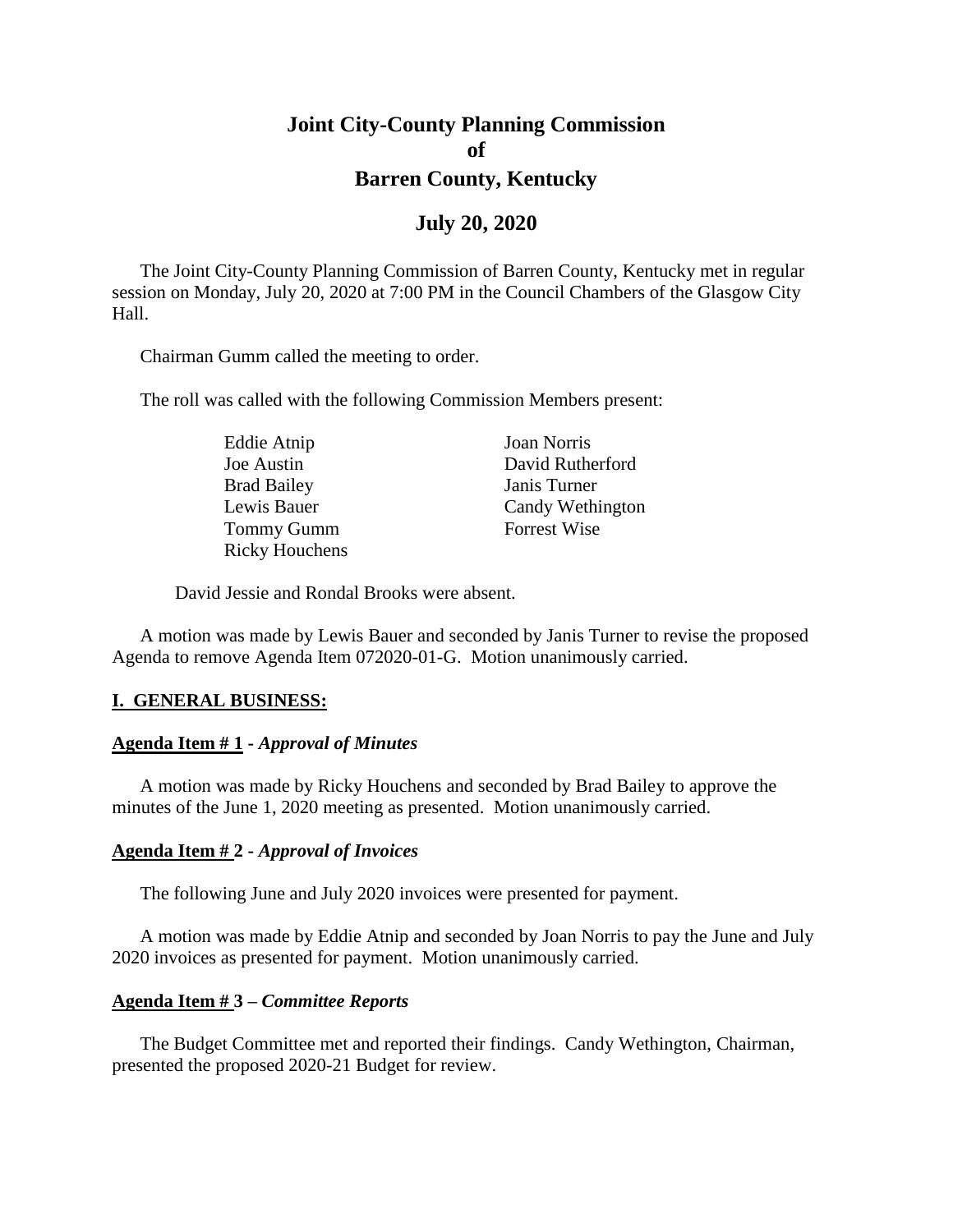# **Joint City-County Planning Commission of Barren County, Kentucky**

### **July 20, 2020**

The Joint City-County Planning Commission of Barren County, Kentucky met in regular session on Monday, July 20, 2020 at 7:00 PM in the Council Chambers of the Glasgow City Hall.

Chairman Gumm called the meeting to order.

The roll was called with the following Commission Members present:

| Eddie Atnip           | Joan Norris         |
|-----------------------|---------------------|
| Joe Austin            | David Rutherford    |
| <b>Brad Bailey</b>    | Janis Turner        |
| Lewis Bauer           | Candy Wethington    |
| <b>Tommy Gumm</b>     | <b>Forrest Wise</b> |
| <b>Ricky Houchens</b> |                     |

David Jessie and Rondal Brooks were absent.

A motion was made by Lewis Bauer and seconded by Janis Turner to revise the proposed Agenda to remove Agenda Item 072020-01-G. Motion unanimously carried.

#### **I. GENERAL BUSINESS:**

#### **Agenda Item # 1 -** *Approval of Minutes*

A motion was made by Ricky Houchens and seconded by Brad Bailey to approve the minutes of the June 1, 2020 meeting as presented. Motion unanimously carried.

#### **Agenda Item # 2 -** *Approval of Invoices*

The following June and July 2020 invoices were presented for payment.

A motion was made by Eddie Atnip and seconded by Joan Norris to pay the June and July 2020 invoices as presented for payment. Motion unanimously carried.

#### **Agenda Item # 3 –** *Committee Reports*

The Budget Committee met and reported their findings. Candy Wethington, Chairman, presented the proposed 2020-21 Budget for review.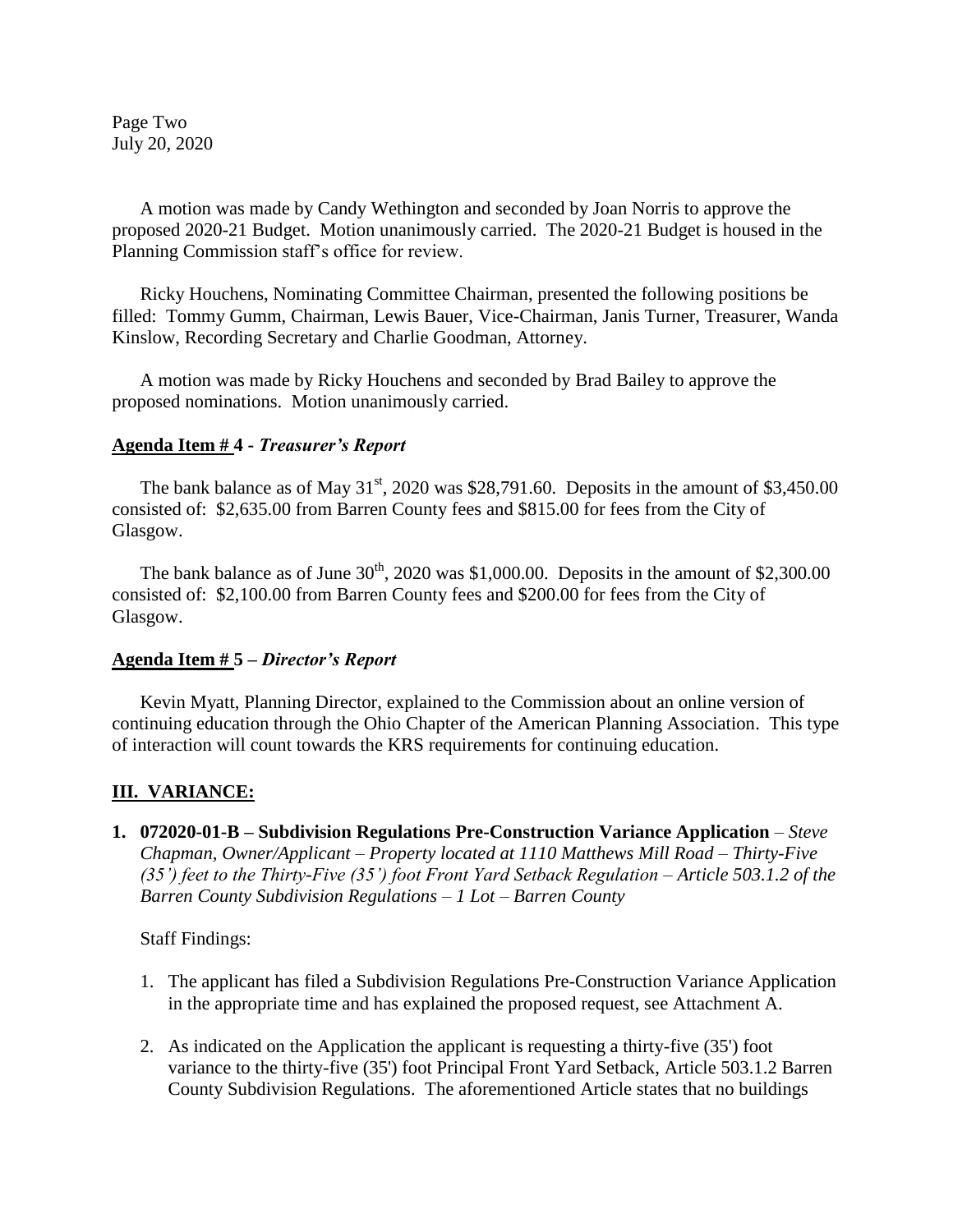Page Two July 20, 2020

A motion was made by Candy Wethington and seconded by Joan Norris to approve the proposed 2020-21 Budget. Motion unanimously carried. The 2020-21 Budget is housed in the Planning Commission staff's office for review.

Ricky Houchens, Nominating Committee Chairman, presented the following positions be filled: Tommy Gumm, Chairman, Lewis Bauer, Vice-Chairman, Janis Turner, Treasurer, Wanda Kinslow, Recording Secretary and Charlie Goodman, Attorney.

A motion was made by Ricky Houchens and seconded by Brad Bailey to approve the proposed nominations. Motion unanimously carried.

#### **Agenda Item # 4 -** *Treasurer's Report*

The bank balance as of May  $31<sup>st</sup>$ , 2020 was \$28,791.60. Deposits in the amount of \$3,450.00 consisted of: \$2,635.00 from Barren County fees and \$815.00 for fees from the City of Glasgow.

The bank balance as of June  $30<sup>th</sup>$ , 2020 was \$1,000.00. Deposits in the amount of \$2,300.00 consisted of: \$2,100.00 from Barren County fees and \$200.00 for fees from the City of Glasgow.

#### **Agenda Item # 5 –** *Director's Report*

Kevin Myatt, Planning Director, explained to the Commission about an online version of continuing education through the Ohio Chapter of the American Planning Association. This type of interaction will count towards the KRS requirements for continuing education.

### **III. VARIANCE:**

**1. 072020-01-B – Subdivision Regulations Pre-Construction Variance Application** *– Steve Chapman, Owner/Applicant – Property located at 1110 Matthews Mill Road – Thirty-Five (35') feet to the Thirty-Five (35') foot Front Yard Setback Regulation – Article 503.1.2 of the Barren County Subdivision Regulations – 1 Lot – Barren County*

Staff Findings:

- 1. The applicant has filed a Subdivision Regulations Pre-Construction Variance Application in the appropriate time and has explained the proposed request, see Attachment A.
- 2. As indicated on the Application the applicant is requesting a thirty-five (35') foot variance to the thirty-five (35') foot Principal Front Yard Setback, Article 503.1.2 Barren County Subdivision Regulations. The aforementioned Article states that no buildings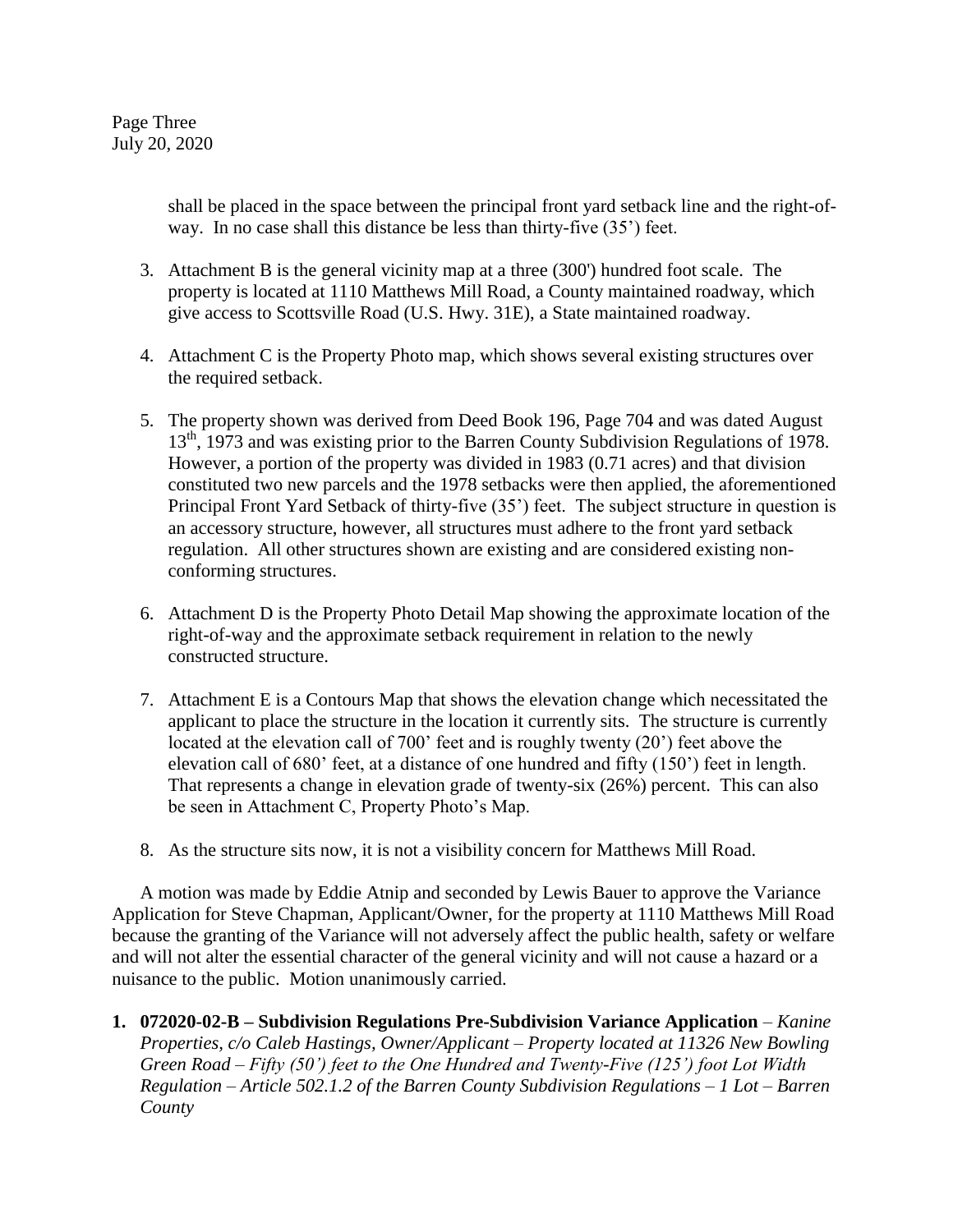shall be placed in the space between the principal front yard setback line and the right-ofway. In no case shall this distance be less than thirty-five (35') feet.

- 3. Attachment B is the general vicinity map at a three (300') hundred foot scale. The property is located at 1110 Matthews Mill Road, a County maintained roadway, which give access to Scottsville Road (U.S. Hwy. 31E), a State maintained roadway.
- 4. Attachment C is the Property Photo map, which shows several existing structures over the required setback.
- 5. The property shown was derived from Deed Book 196, Page 704 and was dated August 13<sup>th</sup>, 1973 and was existing prior to the Barren County Subdivision Regulations of 1978. However, a portion of the property was divided in 1983 (0.71 acres) and that division constituted two new parcels and the 1978 setbacks were then applied, the aforementioned Principal Front Yard Setback of thirty-five (35') feet. The subject structure in question is an accessory structure, however, all structures must adhere to the front yard setback regulation. All other structures shown are existing and are considered existing nonconforming structures.
- 6. Attachment D is the Property Photo Detail Map showing the approximate location of the right-of-way and the approximate setback requirement in relation to the newly constructed structure.
- 7. Attachment E is a Contours Map that shows the elevation change which necessitated the applicant to place the structure in the location it currently sits. The structure is currently located at the elevation call of 700' feet and is roughly twenty (20') feet above the elevation call of 680' feet, at a distance of one hundred and fifty (150') feet in length. That represents a change in elevation grade of twenty-six (26%) percent. This can also be seen in Attachment C, Property Photo's Map.
- 8. As the structure sits now, it is not a visibility concern for Matthews Mill Road.

A motion was made by Eddie Atnip and seconded by Lewis Bauer to approve the Variance Application for Steve Chapman, Applicant/Owner, for the property at 1110 Matthews Mill Road because the granting of the Variance will not adversely affect the public health, safety or welfare and will not alter the essential character of the general vicinity and will not cause a hazard or a nuisance to the public. Motion unanimously carried.

**1. 072020-02-B – Subdivision Regulations Pre-Subdivision Variance Application** *– Kanine Properties, c/o Caleb Hastings, Owner/Applicant – Property located at 11326 New Bowling Green Road – Fifty (50') feet to the One Hundred and Twenty-Five (125') foot Lot Width Regulation – Article 502.1.2 of the Barren County Subdivision Regulations – 1 Lot – Barren County*